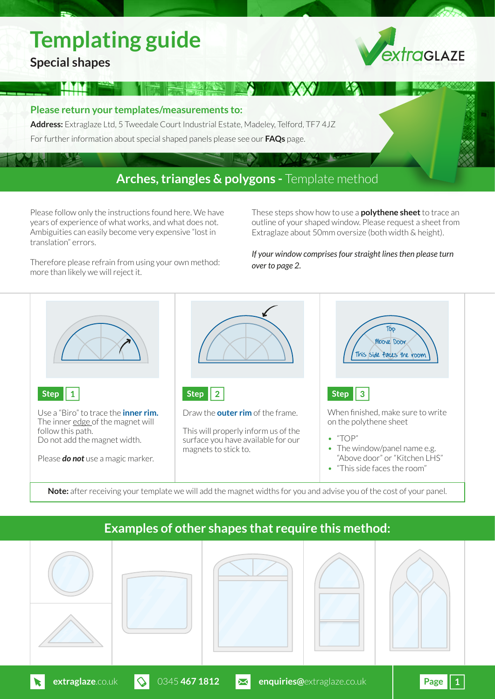# **Templating guide**

**Special shapes**

<u>Mali</u>



## **Please return your templates/measurements to:**

**Address:** Extraglaze Ltd, 5 Tweedale Court Industrial Estate, Madeley, Telford, TF7 4JZ

For further information about special shaped panels please see our **FAQs** page.

## Arches, triangles & polygons - Template method

Δ

**IXXI** 

**AND AND REAL** 

Please follow only the instructions found here. We have years of experience of what works, and what does not. Ambiguities can easily become very expensive "lost in translation" errors.

These steps show how to use a **polythene sheet** to trace an outline of your shaped window. Please request a sheet from Extraglaze about 50mm oversize (both width & height).

Therefore please refrain from using your own method: more than likely we will reject it.

*If your window comprises four straight lines then please turn over to page 2.*



**Note:** after receiving your template we will add the magnet widths for you and advise you of the cost of your panel.

## **Examples of other shapes that require this method:**